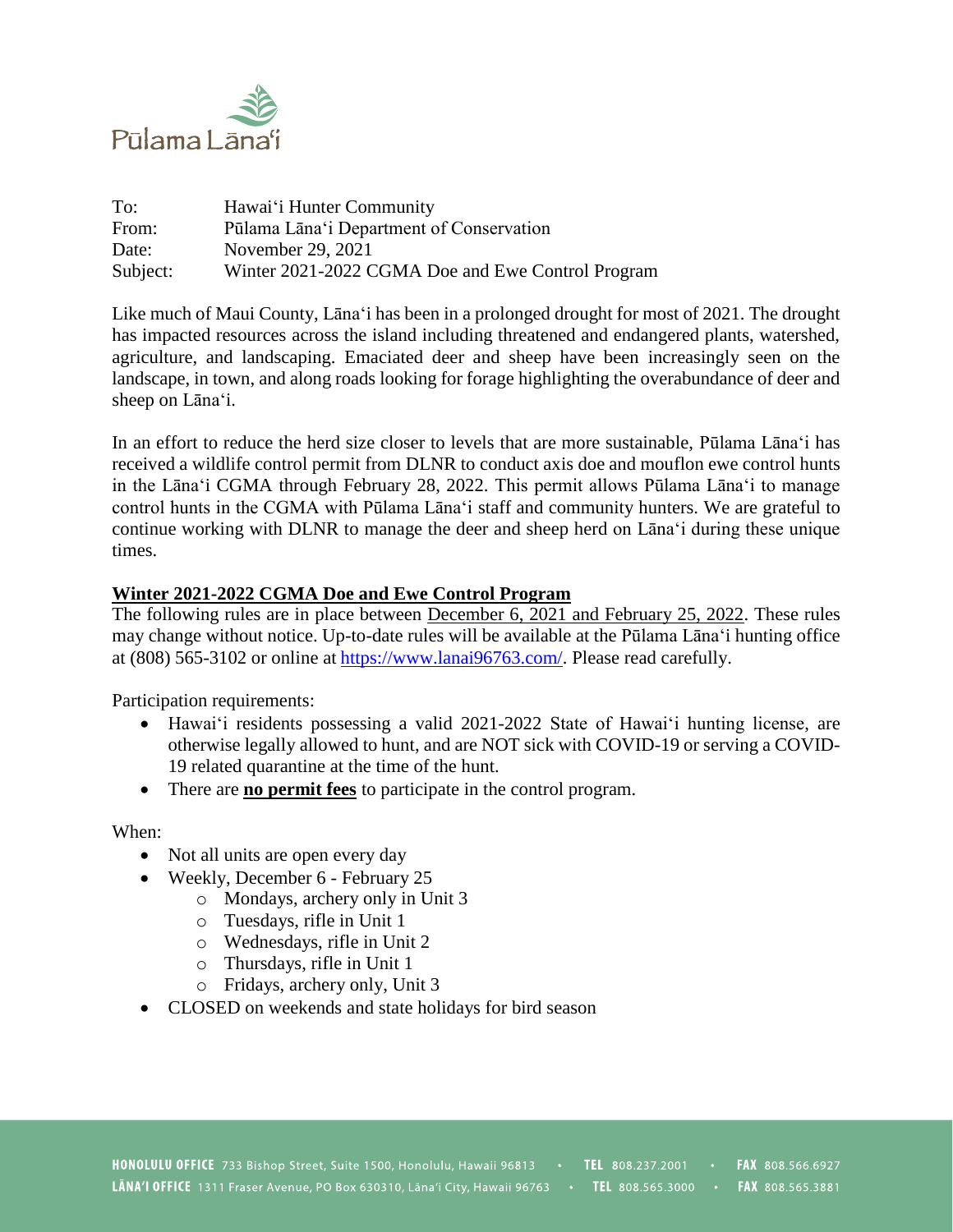

| To:      | Hawai'i Hunter Community                          |
|----------|---------------------------------------------------|
| From:    | Pūlama Lāna'i Department of Conservation          |
| Date:    | November 29, 2021                                 |
| Subject: | Winter 2021-2022 CGMA Doe and Ewe Control Program |

Like much of Maui County, Lāna'i has been in a prolonged drought for most of 2021. The drought has impacted resources across the island including threatened and endangered plants, watershed, agriculture, and landscaping. Emaciated deer and sheep have been increasingly seen on the landscape, in town, and along roads looking for forage highlighting the overabundance of deer and sheep on Lāna'i.

In an effort to reduce the herd size closer to levels that are more sustainable, Pūlama Lāna'i has received a wildlife control permit from DLNR to conduct axis doe and mouflon ewe control hunts in the Lāna'i CGMA through February 28, 2022. This permit allows Pūlama Lāna'i to manage control hunts in the CGMA with Pūlama Lāna'i staff and community hunters. We are grateful to continue working with DLNR to manage the deer and sheep herd on Lāna'i during these unique times.

## **Winter 2021-2022 CGMA Doe and Ewe Control Program**

The following rules are in place between December 6, 2021 and February 25, 2022. These rules may change without notice. Up-to-date rules will be available at the Pūlama Lāna'i hunting office at (808) 565-3102 or online at [https://www.lanai96763.com/.](https://www.lanai96763.com/) Please read carefully.

Participation requirements:

- Hawai'i residents possessing a valid 2021-2022 State of Hawai'i hunting license, are otherwise legally allowed to hunt, and are NOT sick with COVID-19 or serving a COVID-19 related quarantine at the time of the hunt.
- There are **no permit fees** to participate in the control program.

When:

- Not all units are open every day
- Weekly, December 6 February 25
	- o Mondays, archery only in Unit 3
	- o Tuesdays, rifle in Unit 1
	- o Wednesdays, rifle in Unit 2
	- o Thursdays, rifle in Unit 1
	- o Fridays, archery only, Unit 3
- CLOSED on weekends and state holidays for bird season